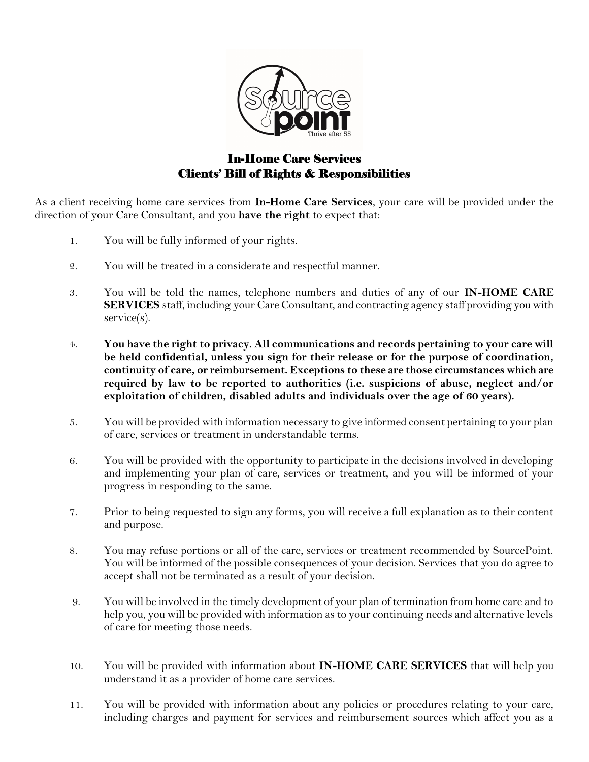

## In-Home Care Services Clients' Bill of Rights & Responsibilities

As a client receiving home care services from In-Home Care Services, your care will be provided under the direction of your Care Consultant, and you have the right to expect that:

- 1. You will be fully informed of your rights.
- 2. You will be treated in a considerate and respectful manner.
- 3. You will be told the names, telephone numbers and duties of any of our IN-HOME CARE SERVICES staff, including your Care Consultant, and contracting agency staff providing you with service(s).
- 4. You have the right to privacy. All communications and records pertaining to your care will be held confidential, unless you sign for their release or for the purpose of coordination, continuity of care, or reimbursement. Exceptions to these are those circumstances which are required by law to be reported to authorities (i.e. suspicions of abuse, neglect and/or exploitation of children, disabled adults and individuals over the age of 60 years).
- 5. You will be provided with information necessary to give informed consent pertaining to your plan of care, services or treatment in understandable terms.
- 6. You will be provided with the opportunity to participate in the decisions involved in developing and implementing your plan of care, services or treatment, and you will be informed of your progress in responding to the same.
- 7. Prior to being requested to sign any forms, you will receive a full explanation as to their content and purpose.
- 8. You may refuse portions or all of the care, services or treatment recommended by SourcePoint. You will be informed of the possible consequences of your decision. Services that you do agree to accept shall not be terminated as a result of your decision.
- 9. You will be involved in the timely development of your plan of termination from home care and to help you, you will be provided with information as to your continuing needs and alternative levels of care for meeting those needs.
- 10. You will be provided with information about **IN-HOME CARE SERVICES** that will help you understand it as a provider of home care services.
- 11. You will be provided with information about any policies or procedures relating to your care, including charges and payment for services and reimbursement sources which affect you as a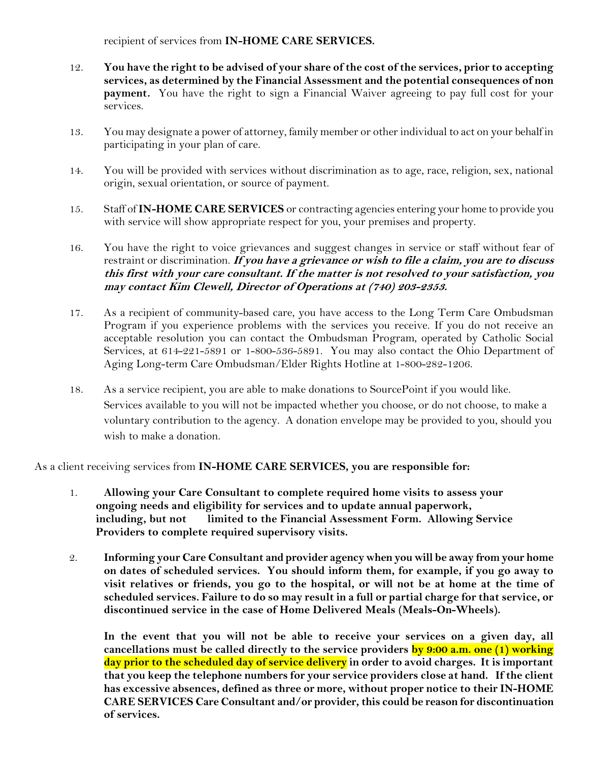recipient of services from **IN-HOME CARE SERVICES.** 

- 12. You have the right to be advised of your share of the cost of the services, prior to accepting services, as determined by the Financial Assessment and the potential consequences of non payment. You have the right to sign a Financial Waiver agreeing to pay full cost for your services.
- 13. You may designate a power of attorney, family member or other individual to act on your behalf in participating in your plan of care.
- 14. You will be provided with services without discrimination as to age, race, religion, sex, national origin, sexual orientation, or source of payment.
- 15. Staff of IN-HOME CARE SERVICES or contracting agencies entering your home to provide you with service will show appropriate respect for you, your premises and property.
- 16. You have the right to voice grievances and suggest changes in service or staff without fear of restraint or discrimination. If you have a grievance or wish to file a claim, you are to discuss this first with your care consultant. If the matter is not resolved to your satisfaction, you may contact Kim Clewell, Director of Operations at (740) 203-2353.
- 17. As a recipient of community-based care, you have access to the Long Term Care Ombudsman Program if you experience problems with the services you receive. If you do not receive an acceptable resolution you can contact the Ombudsman Program, operated by Catholic Social Services, at 614-221-5891 or 1-800-536-5891. You may also contact the Ohio Department of Aging Long-term Care Ombudsman/Elder Rights Hotline at 1-800-282-1206.
- 18. As a service recipient, you are able to make donations to SourcePoint if you would like. Services available to you will not be impacted whether you choose, or do not choose, to make a voluntary contribution to the agency. A donation envelope may be provided to you, should you wish to make a donation.

As a client receiving services from IN-HOME CARE SERVICES, you are responsible for:

- 1. Allowing your Care Consultant to complete required home visits to assess your ongoing needs and eligibility for services and to update annual paperwork, including, but not limited to the Financial Assessment Form. Allowing Service Providers to complete required supervisory visits.
- 2. Informing your Care Consultant and provider agency when you will be away from your home on dates of scheduled services. You should inform them, for example, if you go away to visit relatives or friends, you go to the hospital, or will not be at home at the time of scheduled services. Failure to do so may result in a full or partial charge for that service, or discontinued service in the case of Home Delivered Meals (Meals-On-Wheels).

In the event that you will not be able to receive your services on a given day, all cancellations must be called directly to the service providers by 9:00 a.m. one (1) working day prior to the scheduled day of service delivery in order to avoid charges. It is important that you keep the telephone numbers for your service providers close at hand. If the client has excessive absences, defined as three or more, without proper notice to their IN-HOME CARE SERVICES Care Consultant and/or provider, this could be reason for discontinuation of services.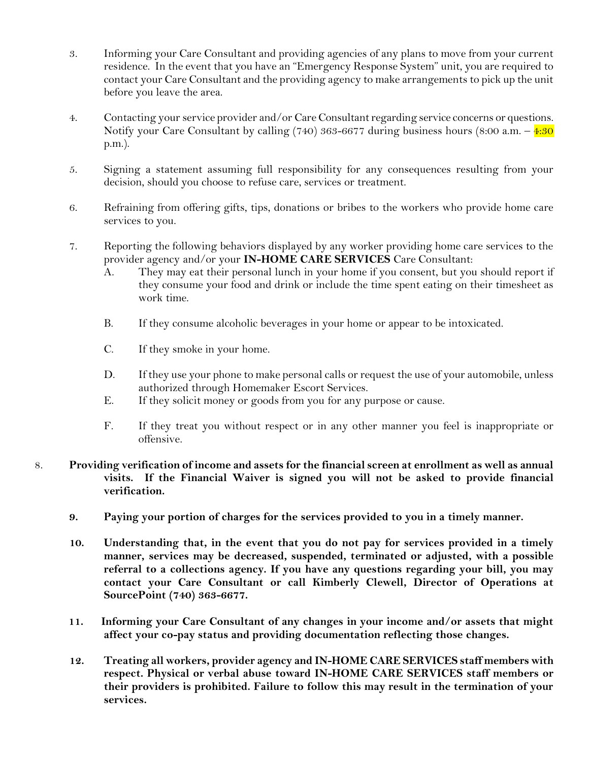- 3. Informing your Care Consultant and providing agencies of any plans to move from your current residence. In the event that you have an "Emergency Response System" unit, you are required to contact your Care Consultant and the providing agency to make arrangements to pick up the unit before you leave the area.
- 4. Contacting your service provider and/or Care Consultant regarding service concerns or questions. Notify your Care Consultant by calling (740) 363-6677 during business hours (8:00 a.m.  $-\frac{4:30}{ }$ p.m.).
- 5. Signing a statement assuming full responsibility for any consequences resulting from your decision, should you choose to refuse care, services or treatment.
- 6. Refraining from offering gifts, tips, donations or bribes to the workers who provide home care services to you.
- 7. Reporting the following behaviors displayed by any worker providing home care services to the provider agency and/or your IN-HOME CARE SERVICES Care Consultant:
	- A. They may eat their personal lunch in your home if you consent, but you should report if they consume your food and drink or include the time spent eating on their timesheet as work time.
	- B. If they consume alcoholic beverages in your home or appear to be intoxicated.
	- C. If they smoke in your home.
	- D. If they use your phone to make personal calls or request the use of your automobile, unless authorized through Homemaker Escort Services.
	- E. If they solicit money or goods from you for any purpose or cause.
	- F. If they treat you without respect or in any other manner you feel is inappropriate or offensive.
- 8. Providing verification of income and assets for the financial screen at enrollment as well as annual visits. If the Financial Waiver is signed you will not be asked to provide financial verification.
	- 9. Paying your portion of charges for the services provided to you in a timely manner.
	- 10. Understanding that, in the event that you do not pay for services provided in a timely manner, services may be decreased, suspended, terminated or adjusted, with a possible referral to a collections agency. If you have any questions regarding your bill, you may contact your Care Consultant or call Kimberly Clewell, Director of Operations at SourcePoint (740) 363-6677.
	- 11. Informing your Care Consultant of any changes in your income and/or assets that might affect your co-pay status and providing documentation reflecting those changes.
	- 12. Treating all workers, provider agency and IN-HOME CARE SERVICES staff members with respect. Physical or verbal abuse toward IN-HOME CARE SERVICES staff members or their providers is prohibited. Failure to follow this may result in the termination of your services.